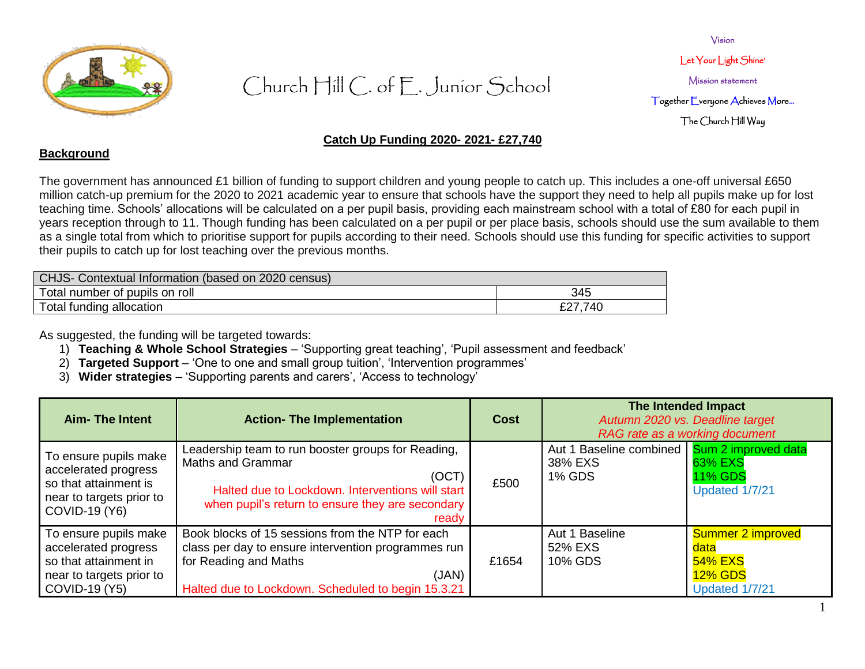

Vision Let Your Light Shine' Mission statement Together Everyone Achieves More… The Church Hill Way

### **Catch Up Funding 2020- 2021- £27,740**

#### **Background**

The government has announced £1 billion of funding to support children and young people to catch up. This includes a one-off universal £650 million catch-up premium for the 2020 to 2021 academic year to ensure that schools have the support they need to help all pupils make up for lost teaching time. Schools' allocations will be calculated on a per pupil basis, providing each mainstream school with a total of £80 for each pupil in years reception through to 11. Though funding has been calculated on a per pupil or per place basis, schools should use the sum available to them as a single total from which to prioritise support for pupils according to their need. Schools should use this funding for specific activities to support their pupils to catch up for lost teaching over the previous months.

| CHJS- Contextual Information (based on 2020 census) |         |
|-----------------------------------------------------|---------|
| Total number of pupils on roll                      | 345     |
| Total funding allocation                            | £27,740 |

As suggested, the funding will be targeted towards:

- 1) **Teaching & Whole School Strategies** 'Supporting great teaching', 'Pupil assessment and feedback'
- 2) **Targeted Support** 'One to one and small group tuition', 'Intervention programmes'
- 3) **Wider strategies** 'Supporting parents and carers', 'Access to technology'

| <b>Aim- The Intent</b>                                                                                              | <b>Action- The Implementation</b>                                                                                                                                                                        | Cost  | The Intended Impact<br>Autumn 2020 vs. Deadline target<br>RAG rate as a working document |                                                                          |
|---------------------------------------------------------------------------------------------------------------------|----------------------------------------------------------------------------------------------------------------------------------------------------------------------------------------------------------|-------|------------------------------------------------------------------------------------------|--------------------------------------------------------------------------|
| To ensure pupils make<br>accelerated progress<br>so that attainment is<br>near to targets prior to<br>COVID-19 (Y6) | Leadership team to run booster groups for Reading,<br><b>Maths and Grammar</b><br>(OCT)<br>Halted due to Lockdown. Interventions will start<br>when pupil's return to ensure they are secondary<br>ready | £500  | Aut 1 Baseline combined   Sum 2 improved data<br>38% EXS<br><b>1% GDS</b>                | 63% EXS<br><b>11% GDS</b><br>Updated 1/7/21                              |
| To ensure pupils make<br>accelerated progress<br>so that attainment in<br>near to targets prior to<br>COVID-19 (Y5) | Book blocks of 15 sessions from the NTP for each<br>class per day to ensure intervention programmes run<br>for Reading and Maths<br>(JAN)<br>Halted due to Lockdown. Scheduled to begin 15.3.21          | £1654 | Aut 1 Baseline<br>52% EXS<br>10% GDS                                                     | Summer 2 improved<br>data<br>54% EXS<br><b>12% GDS</b><br>Updated 1/7/21 |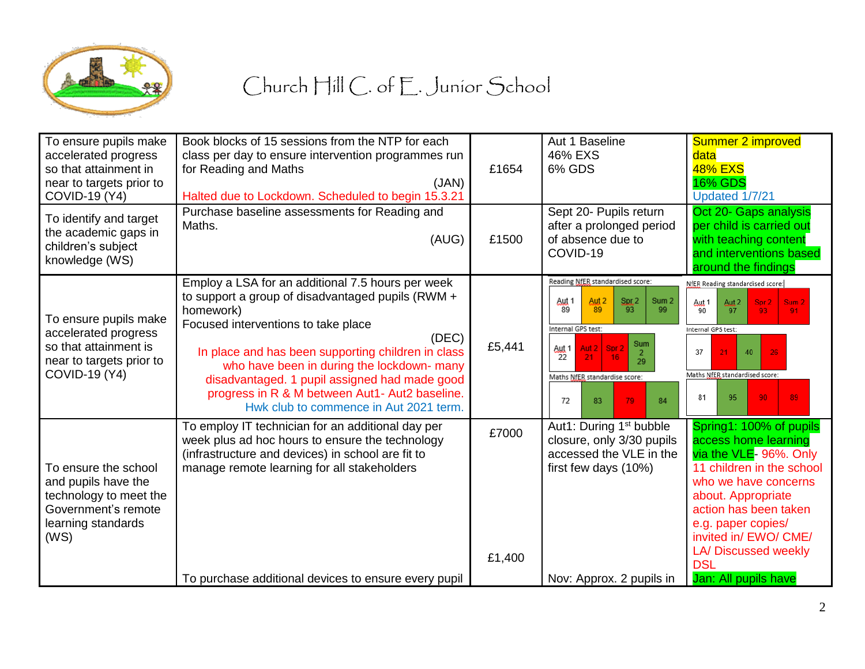

| To ensure pupils make<br>accelerated progress<br>so that attainment in<br>near to targets prior to<br><b>COVID-19 (Y4)</b> | Book blocks of 15 sessions from the NTP for each<br>class per day to ensure intervention programmes run<br>for Reading and Maths<br>(JAN)<br>Halted due to Lockdown. Scheduled to begin 15.3.21                                                                                                                                                                                                                      | £1654           | Aut 1 Baseline<br>46% EXS<br>6% GDS                                                                                                                                                                                                                            | Summer 2 improved<br>data<br><b>48% EXS</b><br><b>16% GDS</b><br>Updated 1/7/21                                                                                                                                                                                                           |
|----------------------------------------------------------------------------------------------------------------------------|----------------------------------------------------------------------------------------------------------------------------------------------------------------------------------------------------------------------------------------------------------------------------------------------------------------------------------------------------------------------------------------------------------------------|-----------------|----------------------------------------------------------------------------------------------------------------------------------------------------------------------------------------------------------------------------------------------------------------|-------------------------------------------------------------------------------------------------------------------------------------------------------------------------------------------------------------------------------------------------------------------------------------------|
| To identify and target<br>the academic gaps in<br>children's subject<br>knowledge (WS)                                     | Purchase baseline assessments for Reading and<br>Maths.<br>(AUG)                                                                                                                                                                                                                                                                                                                                                     | £1500           | Sept 20- Pupils return<br>after a prolonged period<br>of absence due to<br>COVID-19                                                                                                                                                                            | Oct 20- Gaps analysis<br>per child is carried out<br>with teaching content<br>and interventions based<br>around the findings                                                                                                                                                              |
| To ensure pupils make<br>accelerated progress<br>so that attainment is<br>near to targets prior to<br><b>COVID-19 (Y4)</b> | Employ a LSA for an additional 7.5 hours per week<br>to support a group of disadvantaged pupils (RWM +<br>homework)<br>Focused interventions to take place<br>(DEC)<br>In place and has been supporting children in class<br>who have been in during the lockdown- many<br>disadvantaged. 1 pupil assigned had made good<br>progress in R & M between Aut1- Aut2 baseline.<br>Hwk club to commence in Aut 2021 term. | £5,441          | Reading NfER standardised score:<br>Aut 2<br>Aut 1<br>S <sub>RL</sub> 2<br>Sum <sub>2</sub><br>93<br>89<br>-89<br>99<br>Internal GPS test:<br>Sum<br>Spr 2<br>Aut 2<br>Aut 1<br>22<br>16<br>21.<br>29<br>Maths NfER standardise score:<br>72<br>83<br>79<br>84 | NfER Reading standardised score:<br>Aut 2<br>Sum <sub>2</sub><br>Aut <sub>1</sub><br>Spr 2<br>97<br>90<br>93 <sub>1</sub><br>91<br>Internal GPS test:<br>37<br>21<br>40<br>26<br>Maths NfER standardised score:<br>95<br>90<br>89<br>81                                                   |
| To ensure the school<br>and pupils have the<br>technology to meet the<br>Government's remote<br>learning standards<br>(WS) | To employ IT technician for an additional day per<br>week plus ad hoc hours to ensure the technology<br>(infrastructure and devices) in school are fit to<br>manage remote learning for all stakeholders                                                                                                                                                                                                             | £7000<br>£1,400 | Aut1: During 1 <sup>st</sup> bubble<br>closure, only 3/30 pupils<br>accessed the VLE in the<br>first few days (10%)                                                                                                                                            | Spring1: 100% of pupils<br>access home learning<br>via the VLE- 96%. Only<br>11 children in the school<br>who we have concerns<br>about. Appropriate<br>action has been taken<br>e.g. paper copies/<br>invited in/ EWO/ CME/<br>LA/Discussed weekly<br><b>DSL</b><br>Jan: All pupils have |
|                                                                                                                            | To purchase additional devices to ensure every pupil                                                                                                                                                                                                                                                                                                                                                                 |                 | Nov: Approx. 2 pupils in                                                                                                                                                                                                                                       |                                                                                                                                                                                                                                                                                           |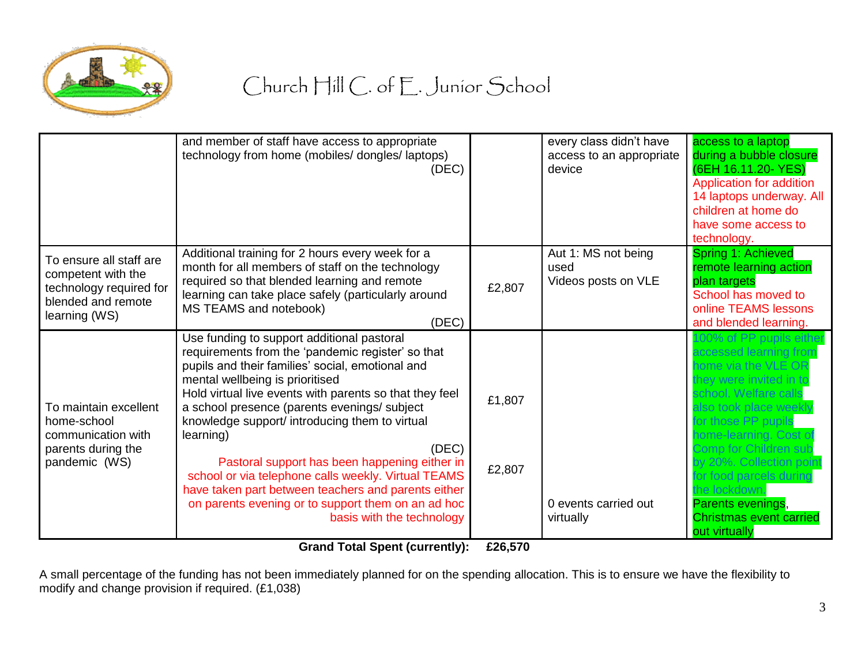

|                                                                                                                 | and member of staff have access to appropriate<br>technology from home (mobiles/ dongles/ laptops)<br>(DEC)                                                                                                                                                                                                                                                                                                                                                                                                                                                                                                                 |                  | every class didn't have<br>access to an appropriate<br>device | access to a laptop<br>during a bubble closure<br>(6EH 16.11.20- YES)<br>Application for addition<br>14 laptops underway. All<br>children at home do<br>have some access to<br>technology.                                                                                                                                                                                     |
|-----------------------------------------------------------------------------------------------------------------|-----------------------------------------------------------------------------------------------------------------------------------------------------------------------------------------------------------------------------------------------------------------------------------------------------------------------------------------------------------------------------------------------------------------------------------------------------------------------------------------------------------------------------------------------------------------------------------------------------------------------------|------------------|---------------------------------------------------------------|-------------------------------------------------------------------------------------------------------------------------------------------------------------------------------------------------------------------------------------------------------------------------------------------------------------------------------------------------------------------------------|
| To ensure all staff are<br>competent with the<br>technology required for<br>blended and remote<br>learning (WS) | Additional training for 2 hours every week for a<br>month for all members of staff on the technology<br>required so that blended learning and remote<br>learning can take place safely (particularly around<br>MS TEAMS and notebook)<br>(DEC)                                                                                                                                                                                                                                                                                                                                                                              | £2,807           | Aut 1: MS not being<br>used<br>Videos posts on VLE            | Spring 1: Achieved<br>remote learning action<br>plan targets<br>School has moved to<br>online TEAMS lessons<br>and blended learning.                                                                                                                                                                                                                                          |
| To maintain excellent<br>home-school<br>communication with<br>parents during the<br>pandemic (WS)               | Use funding to support additional pastoral<br>requirements from the 'pandemic register' so that<br>pupils and their families' social, emotional and<br>mental wellbeing is prioritised<br>Hold virtual live events with parents so that they feel<br>a school presence (parents evenings/ subject<br>knowledge support/ introducing them to virtual<br>learning)<br>(DEC)<br>Pastoral support has been happening either in<br>school or via telephone calls weekly. Virtual TEAMS<br>have taken part between teachers and parents either<br>on parents evening or to support them on an ad hoc<br>basis with the technology | £1,807<br>£2,807 | 0 events carried out<br>virtually                             | 00% of PP pupils eithe<br>accessed learning from<br>nome via the VLE OR<br>they were invited in to<br>school. Welfare calls<br>also took place weekly<br>for those PP pupils<br>home-learning. Cost of<br>Comp for Children sub<br>by 20%. Collection poin<br>or food parcels during<br>the lockdown.<br>Parents evenings,<br><b>Christmas event carried</b><br>out virtually |

**Grand Total Spent (currently): £26,570**

A small percentage of the funding has not been immediately planned for on the spending allocation. This is to ensure we have the flexibility to modify and change provision if required. (£1,038)